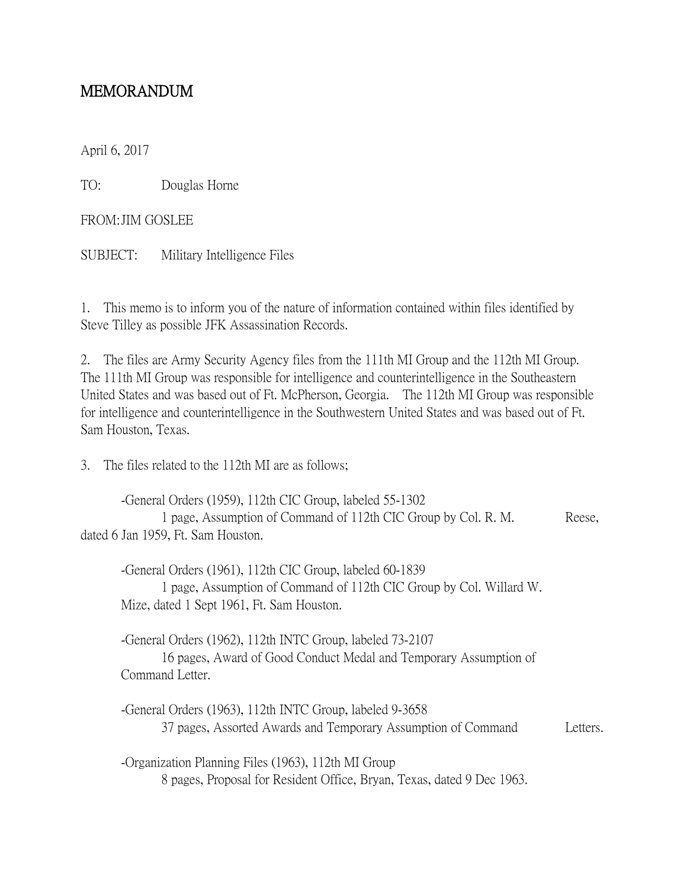## MEMORANDUM

April 6, 2017

TO: Douglas Horne

FROM:JIM GOSLEE

SUBJECT: Military Intelligence Files

1. This memo is to inform you of the nature of information contained within files identified by Steve Tilley as possible JFK Assassination Records.

2. The files are Army Security Agency files from the 111th MI Group and the 112th MI Group. The 111th MI Group was responsible for intelligence and counterintelligence in the Southeastern United States and was based out of Ft. McPherson, Georgia. The 112th MI Group was responsible for intelligence and counterintelligence in the Southwestern United States and was based out of Ft. Sam Houston, Texas.

3. The files related to the 112th MI are as follows;

-General Orders (1959), 112th CIC Group, labeled 55-1302 1 page, Assumption of Command of 112th CIC Group by Col. R. M. Reese, dated 6 Jan 1959, Ft. Sam Houston.

-General Orders (1961), 112th CIC Group, labeled 60-1839 1 page, Assumption of Command of 112th CIC Group by Col. Willard W. Mize, dated 1 Sept 1961, Ft. Sam Houston.

-General Orders (1962), 112th INTC Group, labeled 73-2107 16 pages, Award of Good Conduct Medal and Temporary Assumption of Command Letter.

-General Orders (1963), 112th INTC Group, labeled 9-3658 37 pages, Assorted Awards and Temporary Assumption of Command Letters.

-Organization Planning Files (1963), 112th MI Group 8 pages, Proposal for Resident Office, Bryan, Texas, dated 9 Dec 1963.